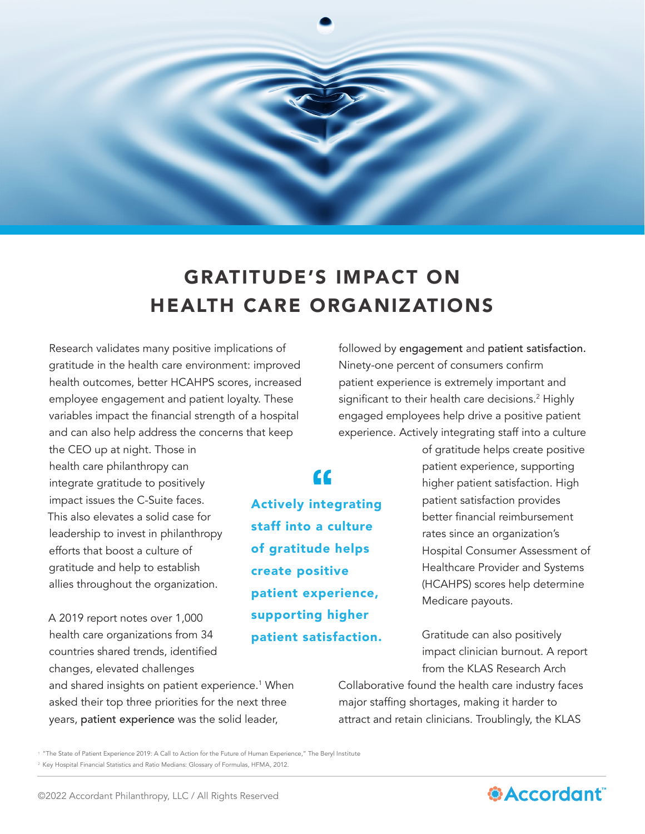

## GRATITUDE'S IMPACT ON HEALTH CARE ORGANIZATIONS

Research validates many positive implications of gratitude in the health care environment: improved health outcomes, better HCAHPS scores, increased employee engagement and patient loyalty. These variables impact the financial strength of a hospital and can also help address the concerns that keep

the CEO up at night. Those in health care philanthropy can integrate gratitude to positively impact issues the C-Suite faces. This also elevates a solid case for leadership to invest in philanthropy efforts that boost a culture of gratitude and help to establish allies throughout the organization.

A 2019 report notes over 1,000 health care organizations from 34 countries shared trends, identified changes, elevated challenges

and shared insights on patient experience.<sup>1</sup> When asked their top three priorities for the next three years, patient experience was the solid leader,

followed by engagement and patient satisfaction. Ninety-one percent of consumers confirm patient experience is extremely important and significant to their health care decisions.<sup>2</sup> Highly engaged employees help drive a positive patient experience. Actively integrating staff into a culture

Actively integrating staff into a culture of gratitude helps create positive patient experience, supporting higher patient satisfaction.

 $\epsilon$ 

of gratitude helps create positive patient experience, supporting higher patient satisfaction. High patient satisfaction provides better financial reimbursement rates since an organization's Hospital Consumer Assessment of Healthcare Provider and Systems (HCAHPS) scores help determine Medicare payouts.

Gratitude can also positively impact clinician burnout. A report from the KLAS Research Arch

Collaborative found the health care industry faces major staffing shortages, making it harder to attract and retain clinicians. Troublingly, the KLAS

<sup>1</sup> ["The State of Patient Experience 2019: A Call to Action for the Future of Human Experience,"](https://www.theberylinstitute.org/store/viewproduct.aspx?id=14795937) The Beryl Institute <sup>2</sup> [Key Hospital Financial Statistics and Ratio Medians: Glossary of Formulas, HFMA, 2012.](https://www.hfma.org/topics/research_reports/1113.html)